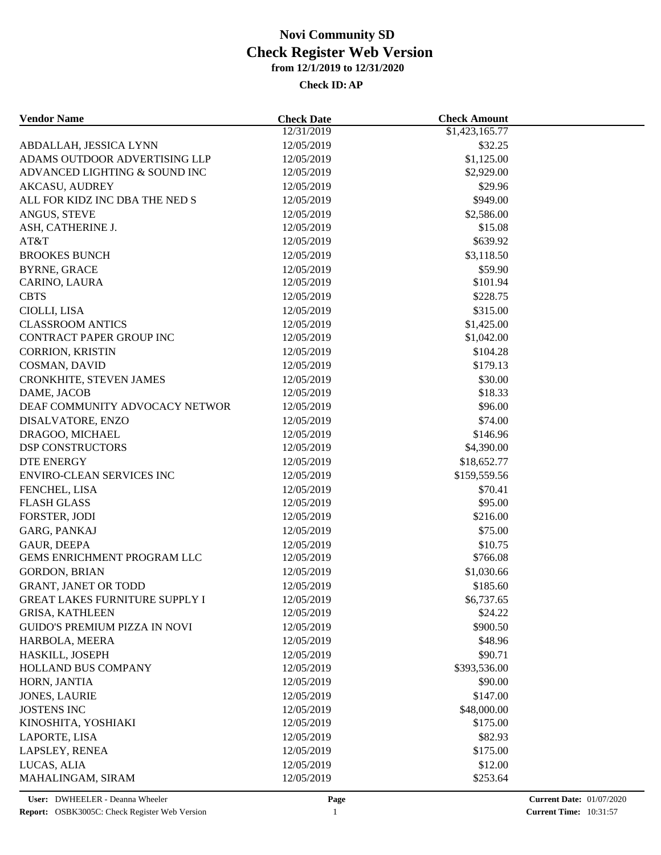| <b>Vendor Name</b>                    | <b>Check Date</b>        | <b>Check Amount</b>     |  |
|---------------------------------------|--------------------------|-------------------------|--|
|                                       | 12/31/2019               | \$1,423,165.77          |  |
| ABDALLAH, JESSICA LYNN                | 12/05/2019               | \$32.25                 |  |
| ADAMS OUTDOOR ADVERTISING LLP         | 12/05/2019               | \$1,125.00              |  |
| ADVANCED LIGHTING & SOUND INC         | 12/05/2019               | \$2,929.00              |  |
| <b>AKCASU, AUDREY</b>                 | 12/05/2019               | \$29.96                 |  |
| ALL FOR KIDZ INC DBA THE NED S        | 12/05/2019               | \$949.00                |  |
| ANGUS, STEVE                          | 12/05/2019               | \$2,586.00              |  |
| ASH, CATHERINE J.                     | 12/05/2019               | \$15.08                 |  |
| AT&T                                  | 12/05/2019               | \$639.92                |  |
| <b>BROOKES BUNCH</b>                  | 12/05/2019               | \$3,118.50              |  |
| <b>BYRNE, GRACE</b>                   | 12/05/2019               | \$59.90                 |  |
| CARINO, LAURA                         | 12/05/2019               | \$101.94                |  |
| <b>CBTS</b>                           | 12/05/2019               | \$228.75                |  |
| CIOLLI, LISA                          | 12/05/2019               | \$315.00                |  |
| <b>CLASSROOM ANTICS</b>               | 12/05/2019               | \$1,425.00              |  |
| <b>CONTRACT PAPER GROUP INC</b>       | 12/05/2019               | \$1,042.00              |  |
| <b>CORRION, KRISTIN</b>               | 12/05/2019               | \$104.28                |  |
| COSMAN, DAVID                         | 12/05/2019               | \$179.13                |  |
| CRONKHITE, STEVEN JAMES               | 12/05/2019               | \$30.00                 |  |
| DAME, JACOB                           | 12/05/2019               | \$18.33                 |  |
| DEAF COMMUNITY ADVOCACY NETWOR        | 12/05/2019               | \$96.00                 |  |
| DISALVATORE, ENZO                     | 12/05/2019               | \$74.00                 |  |
| DRAGOO, MICHAEL                       | 12/05/2019               | \$146.96                |  |
| <b>DSP CONSTRUCTORS</b>               | 12/05/2019               | \$4,390.00              |  |
| <b>DTE ENERGY</b>                     | 12/05/2019               | \$18,652.77             |  |
| ENVIRO-CLEAN SERVICES INC             | 12/05/2019               | \$159,559.56            |  |
| FENCHEL, LISA                         | 12/05/2019               | \$70.41                 |  |
| <b>FLASH GLASS</b>                    | 12/05/2019               | \$95.00                 |  |
| FORSTER, JODI                         | 12/05/2019               | \$216.00                |  |
| GARG, PANKAJ                          | 12/05/2019               | \$75.00                 |  |
| <b>GAUR, DEEPA</b>                    | 12/05/2019               | \$10.75                 |  |
| GEMS ENRICHMENT PROGRAM LLC           | 12/05/2019               | \$766.08                |  |
| <b>GORDON, BRIAN</b>                  | 12/05/2019               | \$1,030.66              |  |
| <b>GRANT, JANET OR TODD</b>           | 12/05/2019               | \$185.60                |  |
| <b>GREAT LAKES FURNITURE SUPPLY I</b> | 12/05/2019               | \$6,737.65              |  |
| <b>GRISA, KATHLEEN</b>                | 12/05/2019               | \$24.22                 |  |
| <b>GUIDO'S PREMIUM PIZZA IN NOVI</b>  | 12/05/2019               | \$900.50                |  |
| HARBOLA, MEERA                        | 12/05/2019               | \$48.96                 |  |
| HASKILL, JOSEPH                       |                          |                         |  |
| HOLLAND BUS COMPANY                   | 12/05/2019<br>12/05/2019 | \$90.71<br>\$393,536.00 |  |
| HORN, JANTIA                          | 12/05/2019               | \$90.00                 |  |
| <b>JONES, LAURIE</b>                  |                          |                         |  |
|                                       | 12/05/2019               | \$147.00                |  |
| <b>JOSTENS INC</b>                    | 12/05/2019               | \$48,000.00             |  |
| KINOSHITA, YOSHIAKI                   | 12/05/2019               | \$175.00                |  |
| LAPORTE, LISA                         | 12/05/2019               | \$82.93                 |  |
| LAPSLEY, RENEA                        | 12/05/2019               | \$175.00                |  |
| LUCAS, ALIA                           | 12/05/2019               | \$12.00                 |  |
| MAHALINGAM, SIRAM                     | 12/05/2019               | \$253.64                |  |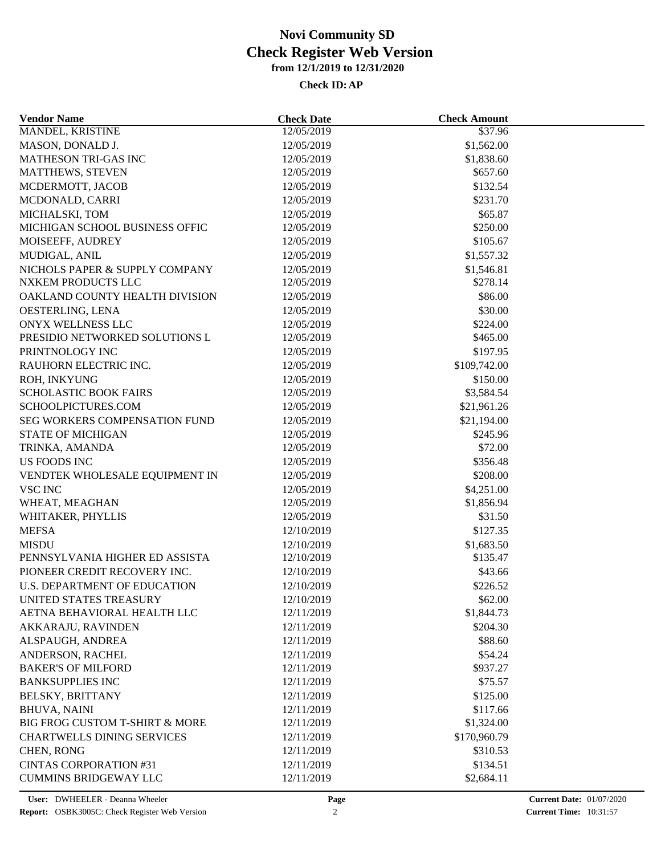| <b>Vendor Name</b>                   | <b>Check Date</b> | <b>Check Amount</b> |  |
|--------------------------------------|-------------------|---------------------|--|
| <b>MANDEL, KRISTINE</b>              | 12/05/2019        | \$37.96             |  |
| MASON, DONALD J.                     | 12/05/2019        | \$1,562.00          |  |
| MATHESON TRI-GAS INC                 | 12/05/2019        | \$1,838.60          |  |
| MATTHEWS, STEVEN                     | 12/05/2019        | \$657.60            |  |
| MCDERMOTT, JACOB                     | 12/05/2019        | \$132.54            |  |
| MCDONALD, CARRI                      | 12/05/2019        | \$231.70            |  |
| MICHALSKI, TOM                       | 12/05/2019        | \$65.87             |  |
| MICHIGAN SCHOOL BUSINESS OFFIC       | 12/05/2019        | \$250.00            |  |
| MOISEEFF, AUDREY                     | 12/05/2019        | \$105.67            |  |
| MUDIGAL, ANIL                        | 12/05/2019        | \$1,557.32          |  |
| NICHOLS PAPER & SUPPLY COMPANY       | 12/05/2019        | \$1,546.81          |  |
| NXKEM PRODUCTS LLC                   | 12/05/2019        | \$278.14            |  |
| OAKLAND COUNTY HEALTH DIVISION       | 12/05/2019        | \$86.00             |  |
| OESTERLING, LENA                     | 12/05/2019        | \$30.00             |  |
| <b>ONYX WELLNESS LLC</b>             | 12/05/2019        | \$224.00            |  |
| PRESIDIO NETWORKED SOLUTIONS L       | 12/05/2019        | \$465.00            |  |
| PRINTNOLOGY INC                      | 12/05/2019        | \$197.95            |  |
| RAUHORN ELECTRIC INC.                | 12/05/2019        | \$109,742.00        |  |
| ROH, INKYUNG                         | 12/05/2019        | \$150.00            |  |
| <b>SCHOLASTIC BOOK FAIRS</b>         | 12/05/2019        | \$3,584.54          |  |
| SCHOOLPICTURES.COM                   | 12/05/2019        | \$21,961.26         |  |
| <b>SEG WORKERS COMPENSATION FUND</b> | 12/05/2019        | \$21,194.00         |  |
| <b>STATE OF MICHIGAN</b>             | 12/05/2019        | \$245.96            |  |
| TRINKA, AMANDA                       | 12/05/2019        | \$72.00             |  |
| US FOODS INC                         | 12/05/2019        | \$356.48            |  |
| VENDTEK WHOLESALE EQUIPMENT IN       | 12/05/2019        | \$208.00            |  |
| <b>VSC INC</b>                       | 12/05/2019        | \$4,251.00          |  |
| WHEAT, MEAGHAN                       | 12/05/2019        | \$1,856.94          |  |
| WHITAKER, PHYLLIS                    | 12/05/2019        | \$31.50             |  |
| <b>MEFSA</b>                         | 12/10/2019        | \$127.35            |  |
| <b>MISDU</b>                         | 12/10/2019        | \$1,683.50          |  |
| PENNSYLVANIA HIGHER ED ASSISTA       | 12/10/2019        | \$135.47            |  |
| PIONEER CREDIT RECOVERY INC.         | 12/10/2019        | \$43.66             |  |
| <b>U.S. DEPARTMENT OF EDUCATION</b>  | 12/10/2019        | \$226.52            |  |
| UNITED STATES TREASURY               | 12/10/2019        | \$62.00             |  |
| AETNA BEHAVIORAL HEALTH LLC          | 12/11/2019        | \$1,844.73          |  |
| AKKARAJU, RAVINDEN                   | 12/11/2019        | \$204.30            |  |
| ALSPAUGH, ANDREA                     | 12/11/2019        | \$88.60             |  |
| ANDERSON, RACHEL                     | 12/11/2019        | \$54.24             |  |
| <b>BAKER'S OF MILFORD</b>            | 12/11/2019        | \$937.27            |  |
| <b>BANKSUPPLIES INC</b>              | 12/11/2019        | \$75.57             |  |
| <b>BELSKY, BRITTANY</b>              | 12/11/2019        | \$125.00            |  |
| <b>BHUVA, NAINI</b>                  | 12/11/2019        | \$117.66            |  |
| BIG FROG CUSTOM T-SHIRT & MORE       | 12/11/2019        | \$1,324.00          |  |
| <b>CHARTWELLS DINING SERVICES</b>    | 12/11/2019        | \$170,960.79        |  |
| CHEN, RONG                           | 12/11/2019        | \$310.53            |  |
| <b>CINTAS CORPORATION #31</b>        | 12/11/2019        | \$134.51            |  |
| <b>CUMMINS BRIDGEWAY LLC</b>         | 12/11/2019        | \$2,684.11          |  |
|                                      |                   |                     |  |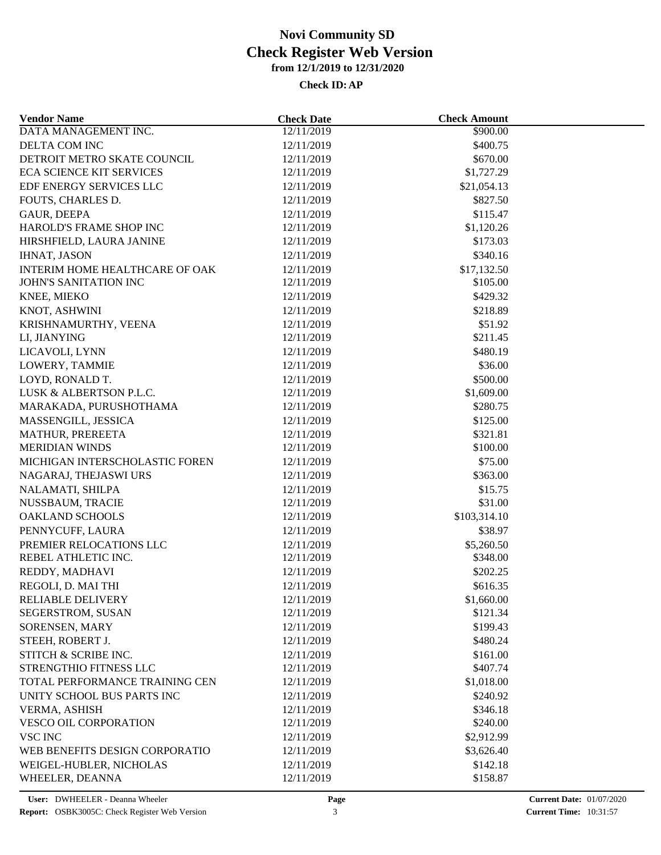| <b>Vendor Name</b>              | <b>Check Date</b> | <b>Check Amount</b> |  |
|---------------------------------|-------------------|---------------------|--|
| DATA MANAGEMENT INC.            | 12/11/2019        | \$900.00            |  |
| DELTA COM INC                   | 12/11/2019        | \$400.75            |  |
| DETROIT METRO SKATE COUNCIL     | 12/11/2019        | \$670.00            |  |
| <b>ECA SCIENCE KIT SERVICES</b> | 12/11/2019        | \$1,727.29          |  |
| EDF ENERGY SERVICES LLC         | 12/11/2019        | \$21,054.13         |  |
| FOUTS, CHARLES D.               | 12/11/2019        | \$827.50            |  |
| <b>GAUR, DEEPA</b>              | 12/11/2019        | \$115.47            |  |
| HAROLD'S FRAME SHOP INC         | 12/11/2019        | \$1,120.26          |  |
| HIRSHFIELD, LAURA JANINE        | 12/11/2019        | \$173.03            |  |
| <b>IHNAT, JASON</b>             | 12/11/2019        | \$340.16            |  |
| INTERIM HOME HEALTHCARE OF OAK  | 12/11/2019        | \$17,132.50         |  |
| <b>JOHN'S SANITATION INC</b>    | 12/11/2019        | \$105.00            |  |
| KNEE, MIEKO                     | 12/11/2019        | \$429.32            |  |
| KNOT, ASHWINI                   | 12/11/2019        | \$218.89            |  |
| KRISHNAMURTHY, VEENA            | 12/11/2019        | \$51.92             |  |
| LI, JIANYING                    | 12/11/2019        | \$211.45            |  |
| LICAVOLI, LYNN                  | 12/11/2019        | \$480.19            |  |
| LOWERY, TAMMIE                  | 12/11/2019        | \$36.00             |  |
| LOYD, RONALD T.                 | 12/11/2019        | \$500.00            |  |
| LUSK & ALBERTSON P.L.C.         | 12/11/2019        | \$1,609.00          |  |
| MARAKADA, PURUSHOTHAMA          | 12/11/2019        | \$280.75            |  |
|                                 |                   | \$125.00            |  |
| MASSENGILL, JESSICA             | 12/11/2019        |                     |  |
| MATHUR, PREREETA                | 12/11/2019        | \$321.81            |  |
| <b>MERIDIAN WINDS</b>           | 12/11/2019        | \$100.00            |  |
| MICHIGAN INTERSCHOLASTIC FOREN  | 12/11/2019        | \$75.00             |  |
| NAGARAJ, THEJASWI URS           | 12/11/2019        | \$363.00            |  |
| NALAMATI, SHILPA                | 12/11/2019        | \$15.75             |  |
| NUSSBAUM, TRACIE                | 12/11/2019        | \$31.00             |  |
| <b>OAKLAND SCHOOLS</b>          | 12/11/2019        | \$103,314.10        |  |
| PENNYCUFF, LAURA                | 12/11/2019        | \$38.97             |  |
| PREMIER RELOCATIONS LLC         | 12/11/2019        | \$5,260.50          |  |
| REBEL ATHLETIC INC.             | 12/11/2019        | \$348.00            |  |
| REDDY, MADHAVI                  | 12/11/2019        | \$202.25            |  |
| REGOLI, D. MAI THI              | 12/11/2019        | \$616.35            |  |
| <b>RELIABLE DELIVERY</b>        | 12/11/2019        | \$1,660.00          |  |
| SEGERSTROM, SUSAN               | 12/11/2019        | \$121.34            |  |
| SORENSEN, MARY                  | 12/11/2019        | \$199.43            |  |
| STEEH, ROBERT J.                | 12/11/2019        | \$480.24            |  |
| STITCH & SCRIBE INC.            | 12/11/2019        | \$161.00            |  |
| STRENGTHIO FITNESS LLC          | 12/11/2019        | \$407.74            |  |
| TOTAL PERFORMANCE TRAINING CEN  | 12/11/2019        | \$1,018.00          |  |
| UNITY SCHOOL BUS PARTS INC      | 12/11/2019        | \$240.92            |  |
| VERMA, ASHISH                   | 12/11/2019        | \$346.18            |  |
| <b>VESCO OIL CORPORATION</b>    | 12/11/2019        | \$240.00            |  |
| <b>VSC INC</b>                  | 12/11/2019        | \$2,912.99          |  |
| WEB BENEFITS DESIGN CORPORATIO  | 12/11/2019        | \$3,626.40          |  |
| WEIGEL-HUBLER, NICHOLAS         | 12/11/2019        | \$142.18            |  |
| WHEELER, DEANNA                 | 12/11/2019        | \$158.87            |  |
|                                 |                   |                     |  |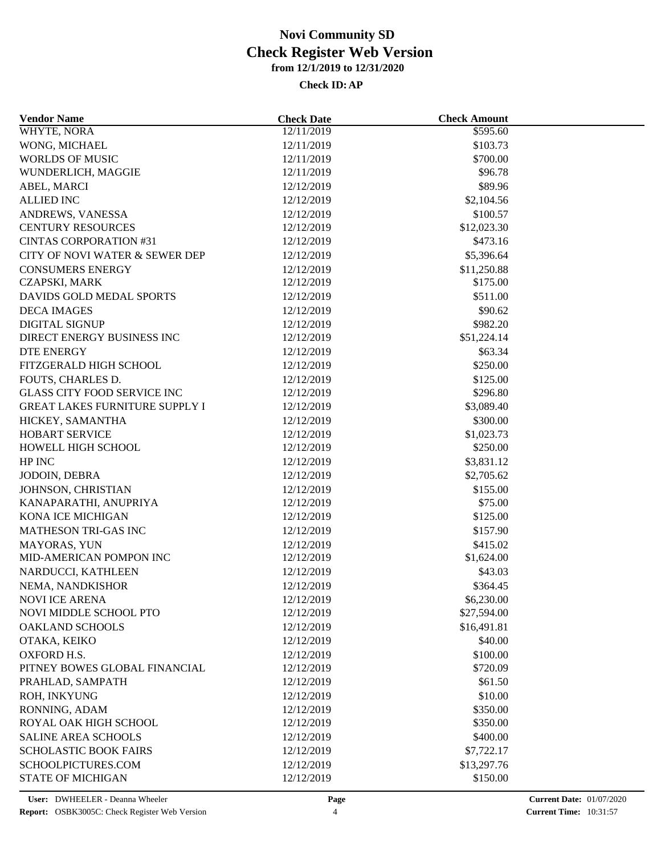| <b>Vendor Name</b>                    | <b>Check Date</b> | <b>Check Amount</b>    |  |
|---------------------------------------|-------------------|------------------------|--|
| WHYTE, NORA                           | 12/11/2019        | \$595.60               |  |
| WONG, MICHAEL                         | 12/11/2019        | \$103.73               |  |
| <b>WORLDS OF MUSIC</b>                | 12/11/2019        | \$700.00               |  |
| WUNDERLICH, MAGGIE                    | 12/11/2019        | \$96.78                |  |
| ABEL, MARCI                           | 12/12/2019        | \$89.96                |  |
| <b>ALLIED INC</b>                     | 12/12/2019        | \$2,104.56             |  |
| ANDREWS, VANESSA                      | 12/12/2019        | \$100.57               |  |
| <b>CENTURY RESOURCES</b>              | 12/12/2019        | \$12,023.30            |  |
| <b>CINTAS CORPORATION #31</b>         | 12/12/2019        | \$473.16               |  |
| CITY OF NOVI WATER & SEWER DEP        | 12/12/2019        | \$5,396.64             |  |
| <b>CONSUMERS ENERGY</b>               | 12/12/2019        | \$11,250.88            |  |
| CZAPSKI, MARK                         | 12/12/2019        | \$175.00               |  |
| DAVIDS GOLD MEDAL SPORTS              | 12/12/2019        | \$511.00               |  |
| <b>DECA IMAGES</b>                    | 12/12/2019        | \$90.62                |  |
| <b>DIGITAL SIGNUP</b>                 | 12/12/2019        | \$982.20               |  |
| DIRECT ENERGY BUSINESS INC            | 12/12/2019        | \$51,224.14            |  |
| <b>DTE ENERGY</b>                     | 12/12/2019        | \$63.34                |  |
| FITZGERALD HIGH SCHOOL                | 12/12/2019        | \$250.00               |  |
| FOUTS, CHARLES D.                     | 12/12/2019        | \$125.00               |  |
| <b>GLASS CITY FOOD SERVICE INC</b>    | 12/12/2019        | \$296.80               |  |
| <b>GREAT LAKES FURNITURE SUPPLY I</b> | 12/12/2019        | \$3,089.40             |  |
| HICKEY, SAMANTHA                      | 12/12/2019        | \$300.00               |  |
| <b>HOBART SERVICE</b>                 | 12/12/2019        |                        |  |
| HOWELL HIGH SCHOOL                    | 12/12/2019        | \$1,023.73<br>\$250.00 |  |
| HP INC                                | 12/12/2019        | \$3,831.12             |  |
|                                       |                   |                        |  |
| JODOIN, DEBRA                         | 12/12/2019        | \$2,705.62             |  |
| JOHNSON, CHRISTIAN                    | 12/12/2019        | \$155.00               |  |
| KANAPARATHI, ANUPRIYA                 | 12/12/2019        | \$75.00                |  |
| KONA ICE MICHIGAN                     | 12/12/2019        | \$125.00               |  |
| MATHESON TRI-GAS INC                  | 12/12/2019        | \$157.90               |  |
| MAYORAS, YUN                          | 12/12/2019        | \$415.02               |  |
| MID-AMERICAN POMPON INC               | 12/12/2019        | \$1,624.00             |  |
| NARDUCCI, KATHLEEN                    | 12/12/2019        | \$43.03                |  |
| NEMA, NANDKISHOR                      | 12/12/2019        | \$364.45               |  |
| NOVI ICE ARENA                        | 12/12/2019        | \$6,230.00             |  |
| NOVI MIDDLE SCHOOL PTO                | 12/12/2019        | \$27,594.00            |  |
| <b>OAKLAND SCHOOLS</b>                | 12/12/2019        | \$16,491.81            |  |
| OTAKA, KEIKO                          | 12/12/2019        | \$40.00                |  |
| <b>OXFORD H.S.</b>                    | 12/12/2019        | \$100.00               |  |
| PITNEY BOWES GLOBAL FINANCIAL         | 12/12/2019        | \$720.09               |  |
| PRAHLAD, SAMPATH                      | 12/12/2019        | \$61.50                |  |
| ROH, INKYUNG                          | 12/12/2019        | \$10.00                |  |
| RONNING, ADAM                         | 12/12/2019        | \$350.00               |  |
| ROYAL OAK HIGH SCHOOL                 | 12/12/2019        | \$350.00               |  |
| SALINE AREA SCHOOLS                   | 12/12/2019        | \$400.00               |  |
| <b>SCHOLASTIC BOOK FAIRS</b>          | 12/12/2019        | \$7,722.17             |  |
| SCHOOLPICTURES.COM                    | 12/12/2019        | \$13,297.76            |  |
| <b>STATE OF MICHIGAN</b>              | 12/12/2019        | \$150.00               |  |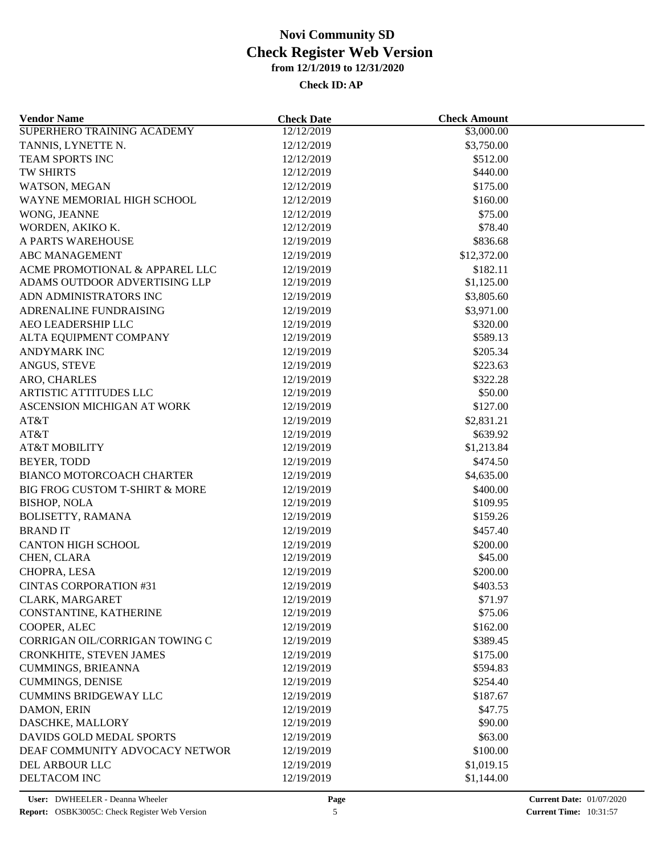| <b>Vendor Name</b>               | <b>Check Date</b>        | <b>Check Amount</b> |  |
|----------------------------------|--------------------------|---------------------|--|
| SUPERHERO TRAINING ACADEMY       | 12/12/2019               | \$3,000.00          |  |
| TANNIS, LYNETTE N.               | 12/12/2019               | \$3,750.00          |  |
| TEAM SPORTS INC                  | 12/12/2019               | \$512.00            |  |
| <b>TW SHIRTS</b>                 | 12/12/2019               | \$440.00            |  |
| WATSON, MEGAN                    | 12/12/2019               | \$175.00            |  |
| WAYNE MEMORIAL HIGH SCHOOL       | 12/12/2019               | \$160.00            |  |
| WONG, JEANNE                     | 12/12/2019               | \$75.00             |  |
| WORDEN, AKIKO K.                 | 12/12/2019               | \$78.40             |  |
| A PARTS WAREHOUSE                | 12/19/2019               | \$836.68            |  |
| <b>ABC MANAGEMENT</b>            | 12/19/2019               | \$12,372.00         |  |
| ACME PROMOTIONAL & APPAREL LLC   | 12/19/2019               | \$182.11            |  |
| ADAMS OUTDOOR ADVERTISING LLP    | 12/19/2019               | \$1,125.00          |  |
| ADN ADMINISTRATORS INC           | 12/19/2019               | \$3,805.60          |  |
| ADRENALINE FUNDRAISING           | 12/19/2019               | \$3,971.00          |  |
| AEO LEADERSHIP LLC               | 12/19/2019               | \$320.00            |  |
| ALTA EQUIPMENT COMPANY           | 12/19/2019               | \$589.13            |  |
| ANDYMARK INC                     | 12/19/2019               | \$205.34            |  |
| ANGUS, STEVE                     | 12/19/2019               | \$223.63            |  |
| ARO, CHARLES                     | 12/19/2019               | \$322.28            |  |
| <b>ARTISTIC ATTITUDES LLC</b>    | 12/19/2019               | \$50.00             |  |
| ASCENSION MICHIGAN AT WORK       | 12/19/2019               | \$127.00            |  |
| AT&T                             | 12/19/2019               | \$2,831.21          |  |
| AT&T                             | 12/19/2019               | \$639.92            |  |
| <b>AT&amp;T MOBILITY</b>         | 12/19/2019               | \$1,213.84          |  |
| BEYER, TODD                      | 12/19/2019               | \$474.50            |  |
| <b>BIANCO MOTORCOACH CHARTER</b> | 12/19/2019               | \$4,635.00          |  |
| BIG FROG CUSTOM T-SHIRT & MORE   | 12/19/2019               | \$400.00            |  |
| <b>BISHOP, NOLA</b>              | 12/19/2019               | \$109.95            |  |
| BOLISETTY, RAMANA                | 12/19/2019               | \$159.26            |  |
| <b>BRANDIT</b>                   | 12/19/2019               | \$457.40            |  |
| <b>CANTON HIGH SCHOOL</b>        | 12/19/2019               | \$200.00            |  |
| CHEN, CLARA                      | 12/19/2019               | \$45.00             |  |
| CHOPRA, LESA                     | 12/19/2019               | \$200.00            |  |
| <b>CINTAS CORPORATION #31</b>    | 12/19/2019               | \$403.53            |  |
| CLARK, MARGARET                  | 12/19/2019               | \$71.97             |  |
| CONSTANTINE, KATHERINE           | 12/19/2019               | \$75.06             |  |
| COOPER, ALEC                     | 12/19/2019               | \$162.00            |  |
| CORRIGAN OIL/CORRIGAN TOWING C   | 12/19/2019               | \$389.45            |  |
| CRONKHITE, STEVEN JAMES          |                          | \$175.00            |  |
| <b>CUMMINGS, BRIEANNA</b>        | 12/19/2019<br>12/19/2019 | \$594.83            |  |
| <b>CUMMINGS, DENISE</b>          | 12/19/2019               | \$254.40            |  |
| <b>CUMMINS BRIDGEWAY LLC</b>     |                          |                     |  |
|                                  | 12/19/2019               | \$187.67            |  |
| DAMON, ERIN                      | 12/19/2019               | \$47.75             |  |
| DASCHKE, MALLORY                 | 12/19/2019               | \$90.00             |  |
| DAVIDS GOLD MEDAL SPORTS         | 12/19/2019               | \$63.00             |  |
| DEAF COMMUNITY ADVOCACY NETWOR   | 12/19/2019               | \$100.00            |  |
| DEL ARBOUR LLC                   | 12/19/2019               | \$1,019.15          |  |
| DELTACOM INC                     | 12/19/2019               | \$1,144.00          |  |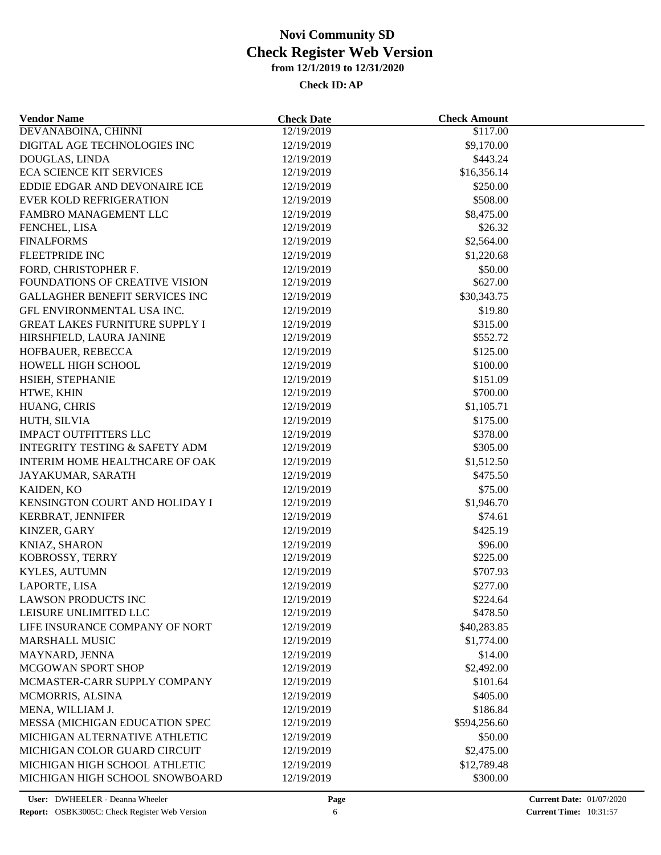| <b>Vendor Name</b>                                      | <b>Check Date</b>        | <b>Check Amount</b> |  |
|---------------------------------------------------------|--------------------------|---------------------|--|
| DEVANABOINA, CHINNI                                     | 12/19/2019               | \$117.00            |  |
| DIGITAL AGE TECHNOLOGIES INC                            | 12/19/2019               | \$9,170.00          |  |
| DOUGLAS, LINDA                                          | 12/19/2019               | \$443.24            |  |
| <b>ECA SCIENCE KIT SERVICES</b>                         | 12/19/2019               | \$16,356.14         |  |
| EDDIE EDGAR AND DEVONAIRE ICE                           | 12/19/2019               | \$250.00            |  |
| <b>EVER KOLD REFRIGERATION</b>                          | 12/19/2019               | \$508.00            |  |
| FAMBRO MANAGEMENT LLC                                   | 12/19/2019               | \$8,475.00          |  |
| FENCHEL, LISA                                           | 12/19/2019               | \$26.32             |  |
| <b>FINALFORMS</b>                                       | 12/19/2019               | \$2,564.00          |  |
| <b>FLEETPRIDE INC</b>                                   | 12/19/2019               | \$1,220.68          |  |
| FORD, CHRISTOPHER F.                                    | 12/19/2019               | \$50.00             |  |
| FOUNDATIONS OF CREATIVE VISION                          | 12/19/2019               | \$627.00            |  |
| <b>GALLAGHER BENEFIT SERVICES INC</b>                   | 12/19/2019               | \$30,343.75         |  |
| GFL ENVIRONMENTAL USA INC.                              | 12/19/2019               | \$19.80             |  |
| <b>GREAT LAKES FURNITURE SUPPLY I</b>                   | 12/19/2019               | \$315.00            |  |
| HIRSHFIELD, LAURA JANINE                                | 12/19/2019               | \$552.72            |  |
| HOFBAUER, REBECCA                                       | 12/19/2019               | \$125.00            |  |
| HOWELL HIGH SCHOOL                                      | 12/19/2019               | \$100.00            |  |
| HSIEH, STEPHANIE                                        | 12/19/2019               | \$151.09            |  |
| HTWE, KHIN                                              | 12/19/2019               | \$700.00            |  |
| HUANG, CHRIS                                            | 12/19/2019               | \$1,105.71          |  |
| HUTH, SILVIA                                            | 12/19/2019               | \$175.00            |  |
| <b>IMPACT OUTFITTERS LLC</b>                            | 12/19/2019               | \$378.00            |  |
| <b>INTEGRITY TESTING &amp; SAFETY ADM</b>               | 12/19/2019               | \$305.00            |  |
| INTERIM HOME HEALTHCARE OF OAK                          | 12/19/2019               | \$1,512.50          |  |
| JAYAKUMAR, SARATH                                       | 12/19/2019               | \$475.50            |  |
| KAIDEN, KO                                              | 12/19/2019               | \$75.00             |  |
| KENSINGTON COURT AND HOLIDAY I                          | 12/19/2019               | \$1,946.70          |  |
| KERBRAT, JENNIFER                                       | 12/19/2019               | \$74.61             |  |
| KINZER, GARY                                            | 12/19/2019               | \$425.19            |  |
| KNIAZ, SHARON                                           | 12/19/2019               | \$96.00             |  |
| KOBROSSY, TERRY                                         | 12/19/2019               | \$225.00            |  |
| KYLES, AUTUMN                                           | 12/19/2019               | \$707.93            |  |
| LAPORTE, LISA                                           | 12/19/2019               | \$277.00            |  |
|                                                         |                          | \$224.64            |  |
| LAWSON PRODUCTS INC                                     | 12/19/2019<br>12/19/2019 |                     |  |
| LEISURE UNLIMITED LLC<br>LIFE INSURANCE COMPANY OF NORT |                          | \$478.50            |  |
|                                                         | 12/19/2019               | \$40,283.85         |  |
| <b>MARSHALL MUSIC</b>                                   | 12/19/2019               | \$1,774.00          |  |
| MAYNARD, JENNA                                          | 12/19/2019               | \$14.00             |  |
| MCGOWAN SPORT SHOP                                      | 12/19/2019               | \$2,492.00          |  |
| MCMASTER-CARR SUPPLY COMPANY                            | 12/19/2019               | \$101.64            |  |
| MCMORRIS, ALSINA                                        | 12/19/2019               | \$405.00            |  |
| MENA, WILLIAM J.                                        | 12/19/2019               | \$186.84            |  |
| MESSA (MICHIGAN EDUCATION SPEC                          | 12/19/2019               | \$594,256.60        |  |
| MICHIGAN ALTERNATIVE ATHLETIC                           | 12/19/2019               | \$50.00             |  |
| MICHIGAN COLOR GUARD CIRCUIT                            | 12/19/2019               | \$2,475.00          |  |
| MICHIGAN HIGH SCHOOL ATHLETIC                           | 12/19/2019               | \$12,789.48         |  |
| MICHIGAN HIGH SCHOOL SNOWBOARD                          | 12/19/2019               | \$300.00            |  |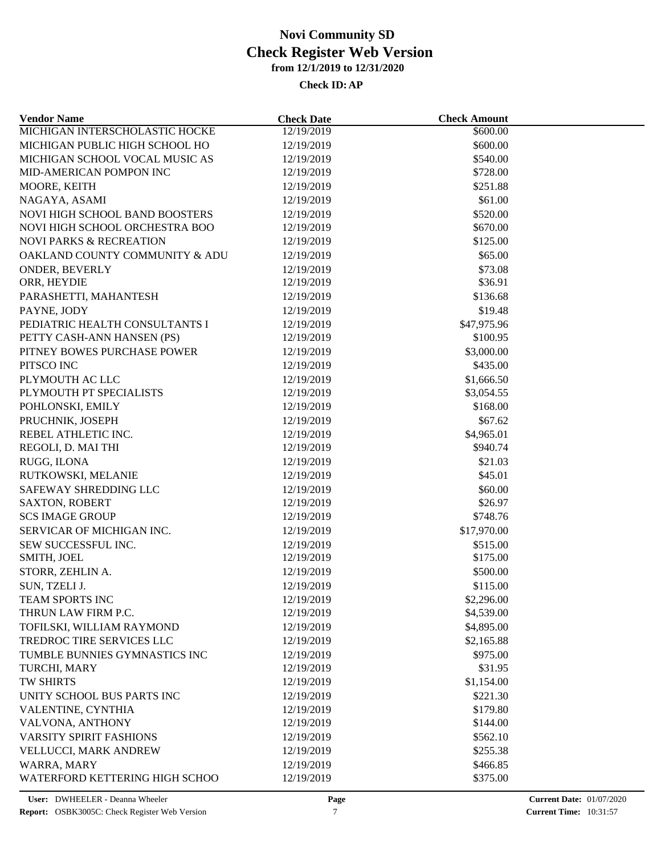| <b>Vendor Name</b>                 | <b>Check Date</b> | <b>Check Amount</b>    |  |
|------------------------------------|-------------------|------------------------|--|
| MICHIGAN INTERSCHOLASTIC HOCKE     | 12/19/2019        | $\frac{600}{0.00}$     |  |
| MICHIGAN PUBLIC HIGH SCHOOL HO     | 12/19/2019        | \$600.00               |  |
| MICHIGAN SCHOOL VOCAL MUSIC AS     | 12/19/2019        | \$540.00               |  |
| MID-AMERICAN POMPON INC            | 12/19/2019        | \$728.00               |  |
| MOORE, KEITH                       | 12/19/2019        | \$251.88               |  |
| NAGAYA, ASAMI                      | 12/19/2019        | \$61.00                |  |
| NOVI HIGH SCHOOL BAND BOOSTERS     | 12/19/2019        | \$520.00               |  |
| NOVI HIGH SCHOOL ORCHESTRA BOO     | 12/19/2019        | \$670.00               |  |
| <b>NOVI PARKS &amp; RECREATION</b> | 12/19/2019        | \$125.00               |  |
| OAKLAND COUNTY COMMUNITY & ADU     | 12/19/2019        | \$65.00                |  |
| ONDER, BEVERLY                     | 12/19/2019        | \$73.08                |  |
| ORR, HEYDIE                        | 12/19/2019        | \$36.91                |  |
| PARASHETTI, MAHANTESH              | 12/19/2019        | \$136.68               |  |
| PAYNE, JODY                        | 12/19/2019        | \$19.48                |  |
| PEDIATRIC HEALTH CONSULTANTS I     | 12/19/2019        | \$47,975.96            |  |
| PETTY CASH-ANN HANSEN (PS)         | 12/19/2019        | \$100.95               |  |
| PITNEY BOWES PURCHASE POWER        | 12/19/2019        | \$3,000.00             |  |
| PITSCO INC                         | 12/19/2019        | \$435.00               |  |
| PLYMOUTH AC LLC                    | 12/19/2019        | \$1,666.50             |  |
| PLYMOUTH PT SPECIALISTS            | 12/19/2019        | \$3,054.55             |  |
| POHLONSKI, EMILY                   | 12/19/2019        | \$168.00               |  |
| PRUCHNIK, JOSEPH                   |                   | \$67.62                |  |
|                                    | 12/19/2019        |                        |  |
| REBEL ATHLETIC INC.                | 12/19/2019        | \$4,965.01<br>\$940.74 |  |
| REGOLI, D. MAI THI                 | 12/19/2019        |                        |  |
| RUGG, ILONA                        | 12/19/2019        | \$21.03                |  |
| RUTKOWSKI, MELANIE                 | 12/19/2019        | \$45.01                |  |
| SAFEWAY SHREDDING LLC              | 12/19/2019        | \$60.00                |  |
| <b>SAXTON, ROBERT</b>              | 12/19/2019        | \$26.97                |  |
| <b>SCS IMAGE GROUP</b>             | 12/19/2019        | \$748.76               |  |
| SERVICAR OF MICHIGAN INC.          | 12/19/2019        | \$17,970.00            |  |
| SEW SUCCESSFUL INC.                | 12/19/2019        | \$515.00               |  |
| SMITH, JOEL                        | 12/19/2019        | \$175.00               |  |
| STORR, ZEHLIN A.                   | 12/19/2019        | \$500.00               |  |
| SUN, TZELI J.                      | 12/19/2019        | \$115.00               |  |
| TEAM SPORTS INC                    | 12/19/2019        | \$2,296.00             |  |
| THRUN LAW FIRM P.C.                | 12/19/2019        | \$4,539.00             |  |
| TOFILSKI, WILLIAM RAYMOND          | 12/19/2019        | \$4,895.00             |  |
| TREDROC TIRE SERVICES LLC          | 12/19/2019        | \$2,165.88             |  |
| TUMBLE BUNNIES GYMNASTICS INC      | 12/19/2019        | \$975.00               |  |
| TURCHI, MARY                       | 12/19/2019        | \$31.95                |  |
| TW SHIRTS                          | 12/19/2019        | \$1,154.00             |  |
| UNITY SCHOOL BUS PARTS INC         | 12/19/2019        | \$221.30               |  |
| VALENTINE, CYNTHIA                 | 12/19/2019        | \$179.80               |  |
| VALVONA, ANTHONY                   | 12/19/2019        | \$144.00               |  |
| <b>VARSITY SPIRIT FASHIONS</b>     | 12/19/2019        | \$562.10               |  |
| VELLUCCI, MARK ANDREW              | 12/19/2019        | \$255.38               |  |
| WARRA, MARY                        | 12/19/2019        | \$466.85               |  |
| WATERFORD KETTERING HIGH SCHOO     | 12/19/2019        | \$375.00               |  |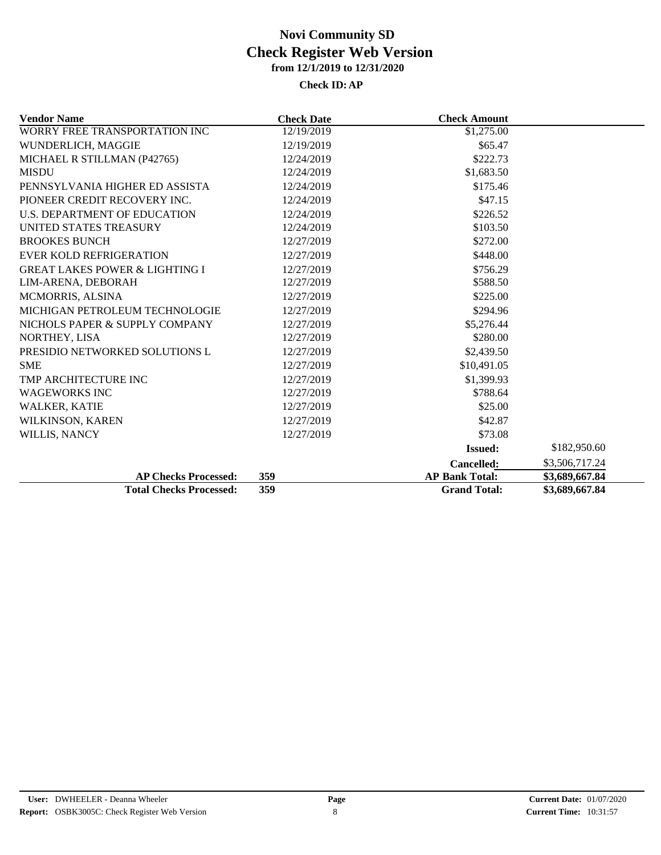| <b>Vendor Name</b>                        | <b>Check Date</b> | <b>Check Amount</b>   |                |
|-------------------------------------------|-------------------|-----------------------|----------------|
| WORRY FREE TRANSPORTATION INC             | 12/19/2019        | \$1,275.00            |                |
| WUNDERLICH, MAGGIE                        | 12/19/2019        | \$65.47               |                |
| MICHAEL R STILLMAN (P42765)               | 12/24/2019        | \$222.73              |                |
| <b>MISDU</b>                              | 12/24/2019        | \$1,683.50            |                |
| PENNSYLVANIA HIGHER ED ASSISTA            | 12/24/2019        | \$175.46              |                |
| PIONEER CREDIT RECOVERY INC.              | 12/24/2019        | \$47.15               |                |
| U.S. DEPARTMENT OF EDUCATION              | 12/24/2019        | \$226.52              |                |
| UNITED STATES TREASURY                    | 12/24/2019        | \$103.50              |                |
| <b>BROOKES BUNCH</b>                      | 12/27/2019        | \$272.00              |                |
| <b>EVER KOLD REFRIGERATION</b>            | 12/27/2019        | \$448.00              |                |
| <b>GREAT LAKES POWER &amp; LIGHTING I</b> | 12/27/2019        | \$756.29              |                |
| LIM-ARENA, DEBORAH                        | 12/27/2019        | \$588.50              |                |
| <b>MCMORRIS, ALSINA</b>                   | 12/27/2019        | \$225.00              |                |
| MICHIGAN PETROLEUM TECHNOLOGIE            | 12/27/2019        | \$294.96              |                |
| NICHOLS PAPER & SUPPLY COMPANY            | 12/27/2019        | \$5,276.44            |                |
| NORTHEY, LISA                             | 12/27/2019        | \$280.00              |                |
| PRESIDIO NETWORKED SOLUTIONS L            | 12/27/2019        | \$2,439.50            |                |
| <b>SME</b>                                | 12/27/2019        | \$10,491.05           |                |
| TMP ARCHITECTURE INC                      | 12/27/2019        | \$1,399.93            |                |
| <b>WAGEWORKS INC</b>                      | 12/27/2019        | \$788.64              |                |
| WALKER, KATIE                             | 12/27/2019        | \$25.00               |                |
| WILKINSON, KAREN                          | 12/27/2019        | \$42.87               |                |
| WILLIS, NANCY                             | 12/27/2019        | \$73.08               |                |
|                                           |                   | <b>Issued:</b>        | \$182,950.60   |
|                                           |                   | <b>Cancelled:</b>     | \$3,506,717.24 |
| <b>AP Checks Processed:</b>               | 359               | <b>AP Bank Total:</b> | \$3,689,667.84 |
| <b>Total Checks Processed:</b>            | 359               | <b>Grand Total:</b>   | \$3,689,667.84 |